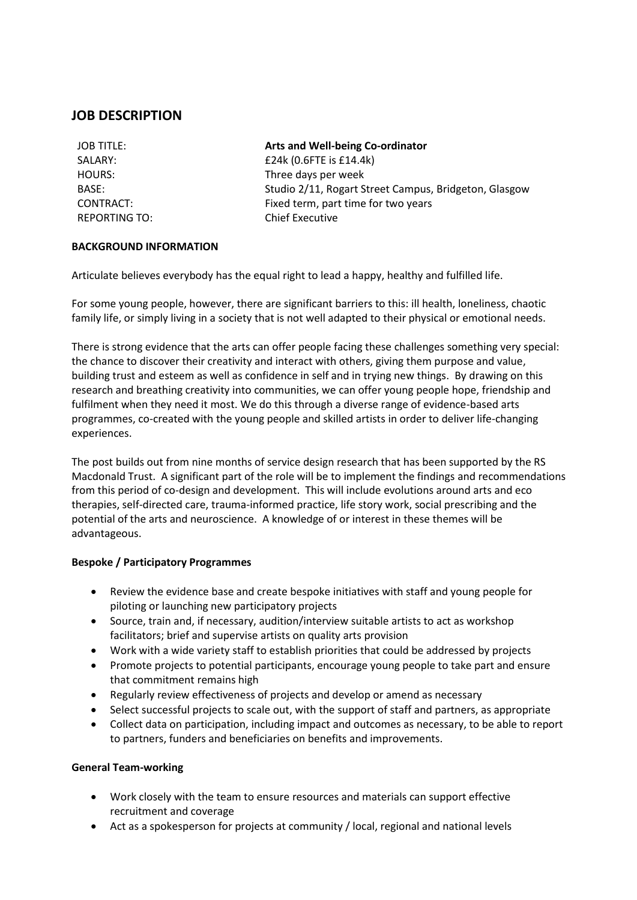# **JOB DESCRIPTION**

| JOB TITLE:           |
|----------------------|
| SALARY:              |
| <b>HOURS:</b>        |
| BASE:                |
| CONTRACT:            |
| <b>REPORTING TO:</b> |

**Arts and Well-being Co-ordinator**  $£24k (0.6$  FTE is  $£14.4k)$ Three days per week Studio 2/11, Rogart Street Campus, Bridgeton, Glasgow Fixed term, part time for two years **Chief Executive** 

### **BACKGROUND INFORMATION**

Articulate believes everybody has the equal right to lead a happy, healthy and fulfilled life.

For some young people, however, there are significant barriers to this: ill health, loneliness, chaotic family life, or simply living in a society that is not well adapted to their physical or emotional needs.

There is strong evidence that the arts can offer people facing these challenges something very special: the chance to discover their creativity and interact with others, giving them purpose and value, building trust and esteem as well as confidence in self and in trying new things. By drawing on this research and breathing creativity into communities, we can offer young people hope, friendship and fulfilment when they need it most. We do this through a diverse range of evidence-based arts programmes, co-created with the young people and skilled artists in order to deliver life-changing experiences.

The post builds out from nine months of service design research that has been supported by the RS Macdonald Trust. A significant part of the role will be to implement the findings and recommendations from this period of co-design and development. This will include evolutions around arts and eco therapies, self-directed care, trauma-informed practice, life story work, social prescribing and the potential of the arts and neuroscience. A knowledge of or interest in these themes will be advantageous.

### **Bespoke / Participatory Programmes**

- Review the evidence base and create bespoke initiatives with staff and young people for piloting or launching new participatory projects
- Source, train and, if necessary, audition/interview suitable artists to act as workshop facilitators; brief and supervise artists on quality arts provision
- Work with a wide variety staff to establish priorities that could be addressed by projects
- Promote projects to potential participants, encourage young people to take part and ensure that commitment remains high
- Regularly review effectiveness of projects and develop or amend as necessary
- Select successful projects to scale out, with the support of staff and partners, as appropriate
- Collect data on participation, including impact and outcomes as necessary, to be able to report to partners, funders and beneficiaries on benefits and improvements.

#### **General Team-working**

- Work closely with the team to ensure resources and materials can support effective recruitment and coverage
- Act as a spokesperson for projects at community / local, regional and national levels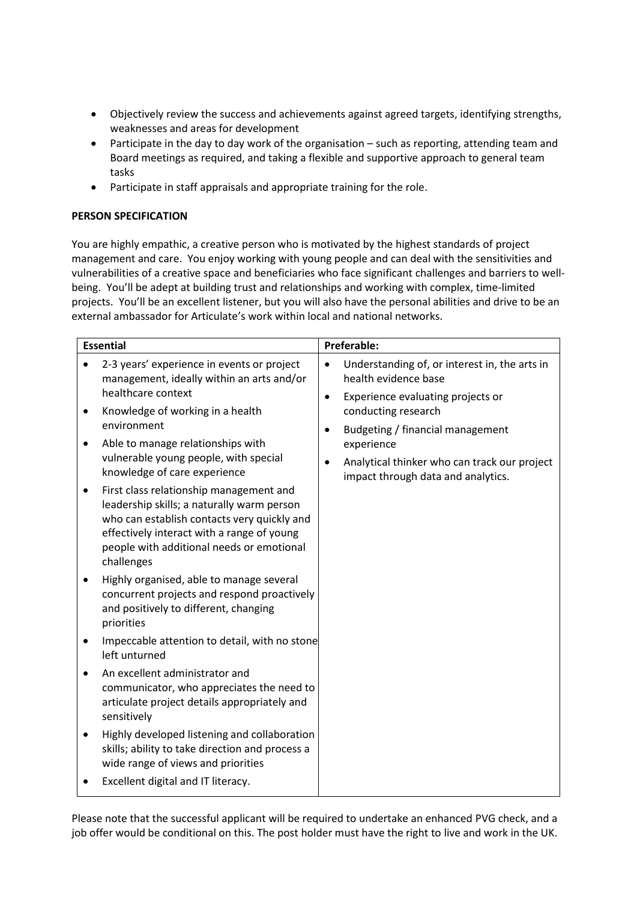- Objectively review the success and achievements against agreed targets, identifying strengths, weaknesses and areas for development
- Participate in the day to day work of the organisation such as reporting, attending team and Board meetings as required, and taking a flexible and supportive approach to general team tasks
- Participate in staff appraisals and appropriate training for the role.

## **PERSON SPECIFICATION**

You are highly empathic, a creative person who is motivated by the highest standards of project management and care. You enjoy working with young people and can deal with the sensitivities and vulnerabilities of a creative space and beneficiaries who face significant challenges and barriers to wellbeing. You'll be adept at building trust and relationships and working with complex, time-limited projects. You'll be an excellent listener, but you will also have the personal abilities and drive to be an external ambassador for Articulate's work within local and national networks.

| <b>Essential</b>                                                                                                                                                                                                                                                                                                                                                                                              | <b>Preferable:</b>                                                                                                                                          |
|---------------------------------------------------------------------------------------------------------------------------------------------------------------------------------------------------------------------------------------------------------------------------------------------------------------------------------------------------------------------------------------------------------------|-------------------------------------------------------------------------------------------------------------------------------------------------------------|
| 2-3 years' experience in events or project<br>management, ideally within an arts and/or<br>healthcare context                                                                                                                                                                                                                                                                                                 | Understanding of, or interest in, the arts in<br>$\bullet$<br>health evidence base<br>Experience evaluating projects or<br>$\bullet$                        |
| Knowledge of working in a health<br>environment<br>Able to manage relationships with<br>vulnerable young people, with special<br>knowledge of care experience<br>First class relationship management and<br>$\bullet$<br>leadership skills; a naturally warm person<br>who can establish contacts very quickly and<br>effectively interact with a range of young<br>people with additional needs or emotional | conducting research<br>Budgeting / financial management<br>experience<br>Analytical thinker who can track our project<br>impact through data and analytics. |
| challenges<br>Highly organised, able to manage several<br>concurrent projects and respond proactively<br>and positively to different, changing<br>priorities<br>Impeccable attention to detail, with no stone                                                                                                                                                                                                 |                                                                                                                                                             |
| left unturned<br>An excellent administrator and<br>communicator, who appreciates the need to<br>articulate project details appropriately and<br>sensitively<br>Highly developed listening and collaboration<br>skills; ability to take direction and process a                                                                                                                                                |                                                                                                                                                             |
| wide range of views and priorities<br>Excellent digital and IT literacy.                                                                                                                                                                                                                                                                                                                                      |                                                                                                                                                             |

Please note that the successful applicant will be required to undertake an enhanced PVG check, and a job offer would be conditional on this. The post holder must have the right to live and work in the UK.